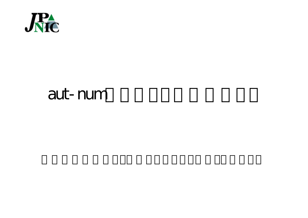

### aut-num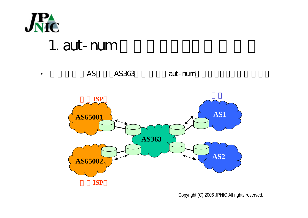

•

### 1. aut-num

AS AS363 aut-num

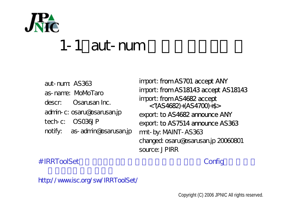

### 1-1.aut-num

aut-num:  $AS363$ as-name: MoMoTaro descr: Osarusan Inc. admin-c: osaru@osarusan.jp tech-c: OS036JP notify: as-admin@osarusan.jp

import: from AS701 accept ANY import: from AS18143 accept AS18143 import: from AS4682 accept <sup>&</sup>lt;^(AS4682)+(AS4700)+\$> export: to AS4682 announce ANY export: to AS7514 announce AS363 mnt-by: MAINT-AS363 changed: osaru@osarusan.jp 20060801 source: JPIRR

#### # IRRToolSet extends the configuration of the Configuration of the Configuration of the Configuration of the Configuration of the Configuration of the Configuration of the Configuration of the Configuration of the Configur

http://www.isc.org/sw/IRRToolSet/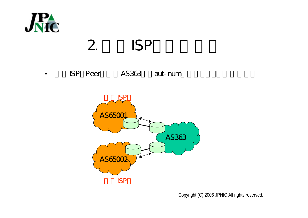

## 2. ISP

•ISP Peer AS363 aut-num

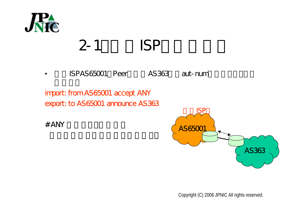

# $2-1$ . ISP

•ISPAS65001 Peer AS363 aut-num

#### import: from AS65001 accept ANY export: to AS65001 announce AS363

 $# ANY$ 

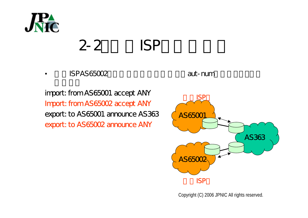

 $2-2$  ISP

•**ISPAS65002** aut-num

import: from AS65001 accept ANY Import: from AS65002 accept ANY export: to AS65001 announce AS363 export: to AS65002 announce ANY

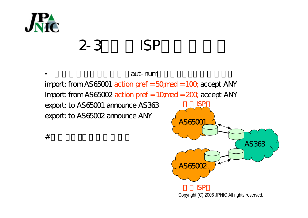

# $2-3$  ISP

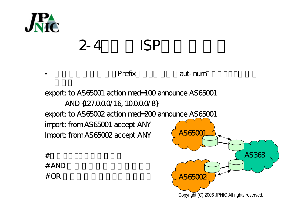

•

# $2-4$  ISP

Prefix aut-num

export: to AS65001 action med=100 announce AS65001 AND {127.0.0.0/16, 10.0.0.0/8} export: to AS65002 action med=200 announce AS65001 import: from AS65001 accept ANY Import: from AS65002 accept ANY AS65001

 $\#$   $\qquad$  $#$  AND  $# OR$ 

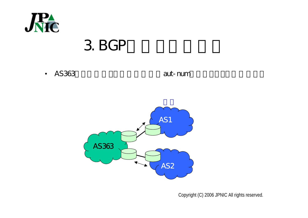

### 3. BGP

 $\bullet$ 

AS363 aut-num

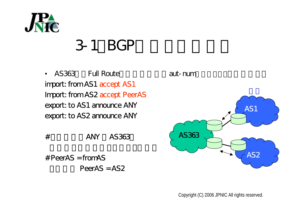

### 3-1 BGP

• AS363 Full Route extending aut-num import: from AS1 accept AS1 Import: from AS2 accept PeerAS export: to AS1 announce ANY export: to AS2 announce ANY

 $#$  ANY AS363

 $#$  PeerAS = from AS  $PeerAS = AS2$ 



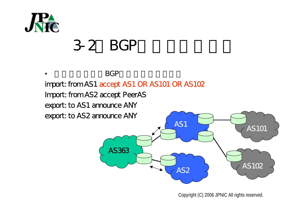

### $3-2$  BGP

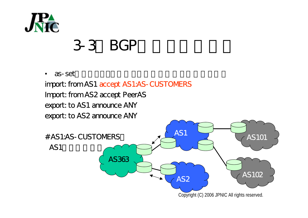

### $3-3$  BGP

 $\bullet$ as-set

import: from AS1 accept AS1:AS-CUSTOMERS Import: from AS2 accept PeerAS export: to AS1 announce ANY export: to AS2 announce ANY

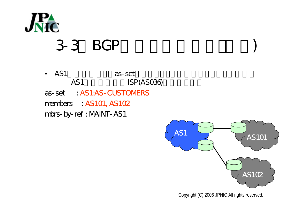

### 3-3 BGP ( )

• AS1 as-set AS1 ISP(ASO36) as-set : AS1:AS-CUSTOMERS members : AS101, AS102 mbrs-by-ref : MAINT-AS1

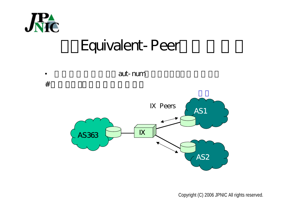

### Equivalent-Peer

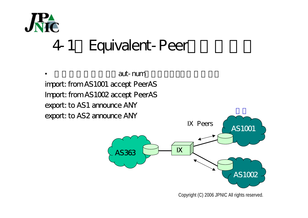

#### 4-1.Equivalent-Peer



Copyright (C) 2006 JPNIC All rights reserved.

AS1002